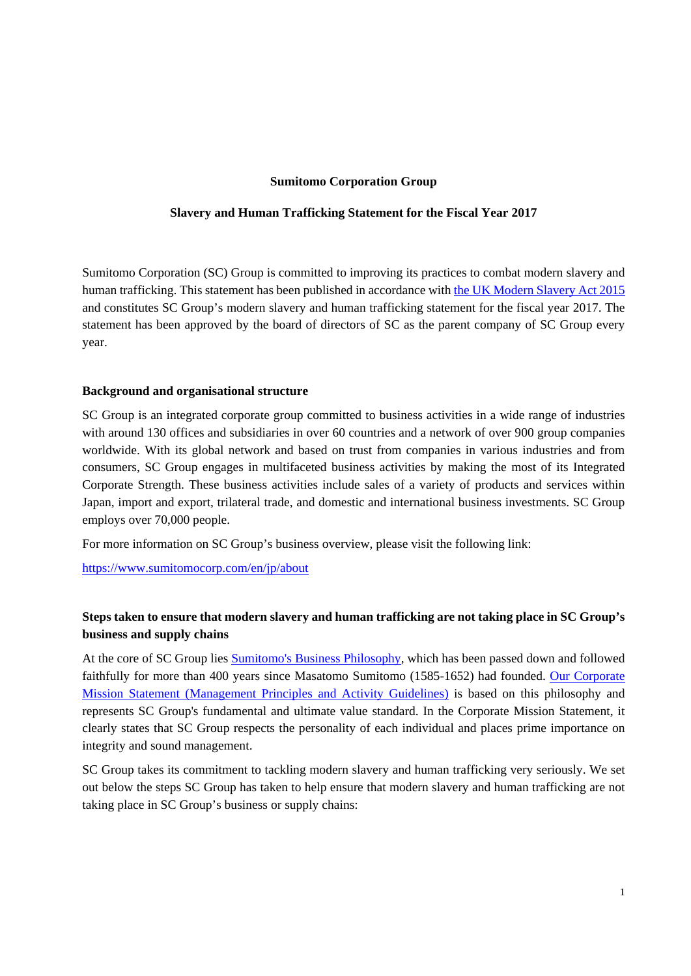### **Sumitomo Corporation Group**

### **Slavery and Human Trafficking Statement for the Fiscal Year 2017**

Sumitomo Corporation (SC) Group is committed to improving its practices to combat modern slavery and human trafficking. This statement has been published in accordance with [the UK Modern Slavery Act 2015](http://www.legislation.gov.uk/ukpga/2015/30/section/54) and constitutes SC Group's modern slavery and human trafficking statement for the fiscal year 2017. The statement has been approved by the board of directors of SC as the parent company of SC Group every year.

#### **Background and organisational structure**

SC Group is an integrated corporate group committed to business activities in a wide range of industries with around 130 offices and subsidiaries in over 60 countries and a network of over 900 group companies worldwide. With its global network and based on trust from companies in various industries and from consumers, SC Group engages in multifaceted business activities by making the most of its Integrated Corporate Strength. These business activities include sales of a variety of products and services within Japan, import and export, trilateral trade, and domestic and international business investments. SC Group employs over 70,000 people.

For more information on SC Group's business overview, please visit the following link:

https://www.sumitomocorp.com/en/jp/about

# **Steps taken to ensure that modern slavery and human trafficking are not taking place in SC Group's business and supply chains**

At the core of SC Group lies [Sumitomo's Business Philosophy,](https://www.sumitomocorp.com/en/jp/about/policy/principles#03) which has been passed down and followed [faithfully for more than 400 years since Masatomo Sumitomo \(1585-1652\) had founded. Our Corporate](https://www.sumitomocorp.com/en/jp/about/policy/principles)  Mission Statement (Management Principles and Activity Guidelines) is based on this philosophy and represents SC Group's fundamental and ultimate value standard. In the Corporate Mission Statement, it clearly states that SC Group respects the personality of each individual and places prime importance on integrity and sound management.

SC Group takes its commitment to tackling modern slavery and human trafficking very seriously. We set out below the steps SC Group has taken to help ensure that modern slavery and human trafficking are not taking place in SC Group's business or supply chains: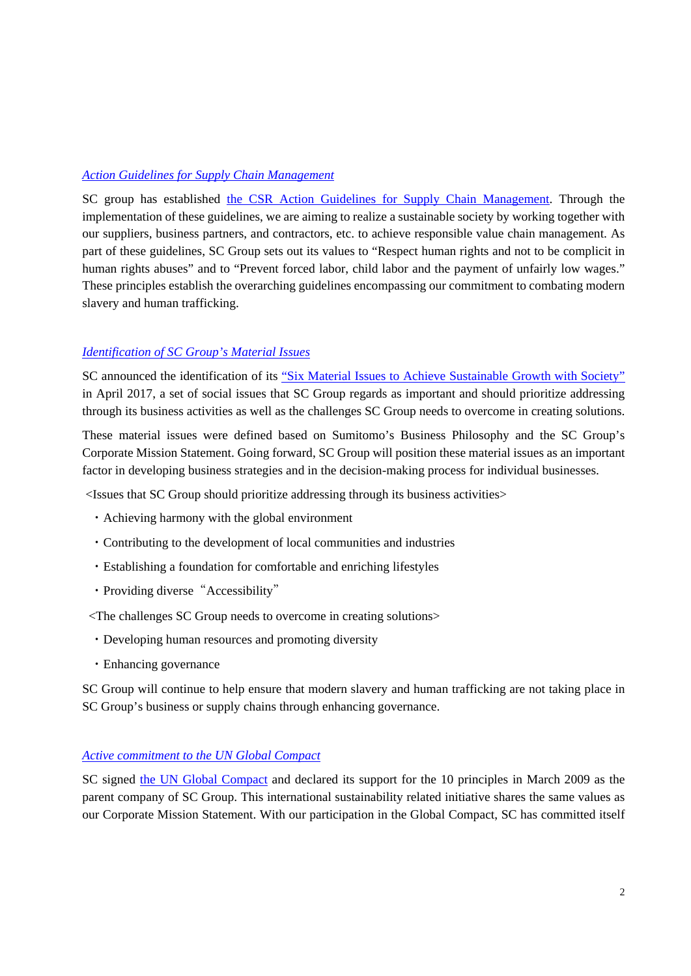# *[Action Guidelines for Supply Chain Management](https://www.sumitomocorp.com/en/jp/sustainability/csr#01)*

SC group has established [the CSR Action Guidelines for Supply Chain Management.](https://www.sumitomocorp.com/en/jp/sustainability/csr#01) Through the implementation of these guidelines, we are aiming to realize a sustainable society by working together with our suppliers, business partners, and contractors, etc. to achieve responsible value chain management. As part of these guidelines, SC Group sets out its values to "Respect human rights and not to be complicit in human rights abuses" and to "Prevent forced labor, child labor and the payment of unfairly low wages." These principles establish the overarching guidelines encompassing our commitment to combating modern slavery and human trafficking.

# *[Identification of SC Group's Material Issues](https://www.sumitomocorp.com/en/jp/sustainability/material-issues)*

SC announced the identification of its "[Six Material Issues to Achieve Sustainable Growth with Society"](https://www.sumitomocorp.com/en/jp/sustainability/material-issues) in April 2017, a set of social issues that SC Group regards as important and should prioritize addressing through its business activities as well as the challenges SC Group needs to overcome in creating solutions.

These material issues were defined based on Sumitomo's Business Philosophy and the SC Group's Corporate Mission Statement. Going forward, SC Group will position these material issues as an important factor in developing business strategies and in the decision-making process for individual businesses.

<Issues that SC Group should prioritize addressing through its business activities>

- ・Achieving harmony with the global environment
- ・Contributing to the development of local communities and industries
- ・Establishing a foundation for comfortable and enriching lifestyles
- Providing diverse "Accessibility"
- <The challenges SC Group needs to overcome in creating solutions>
- ・Developing human resources and promoting diversity
- ・Enhancing governance

SC Group will continue to help ensure that modern slavery and human trafficking are not taking place in SC Group's business or supply chains through enhancing governance.

# *[Active commitment to the UN Global Compact](https://www.sumitomocorp.com/en/jp/sustainability/initiative)*

SC signed [the UN Global Compact](https://www.unglobalcompact.org/what-is-gc/mission/principles) and declared its support for the 10 principles in March 2009 as the parent company of SC Group. This international sustainability related initiative shares the same values as our Corporate Mission Statement. With our participation in the Global Compact, SC has committed itself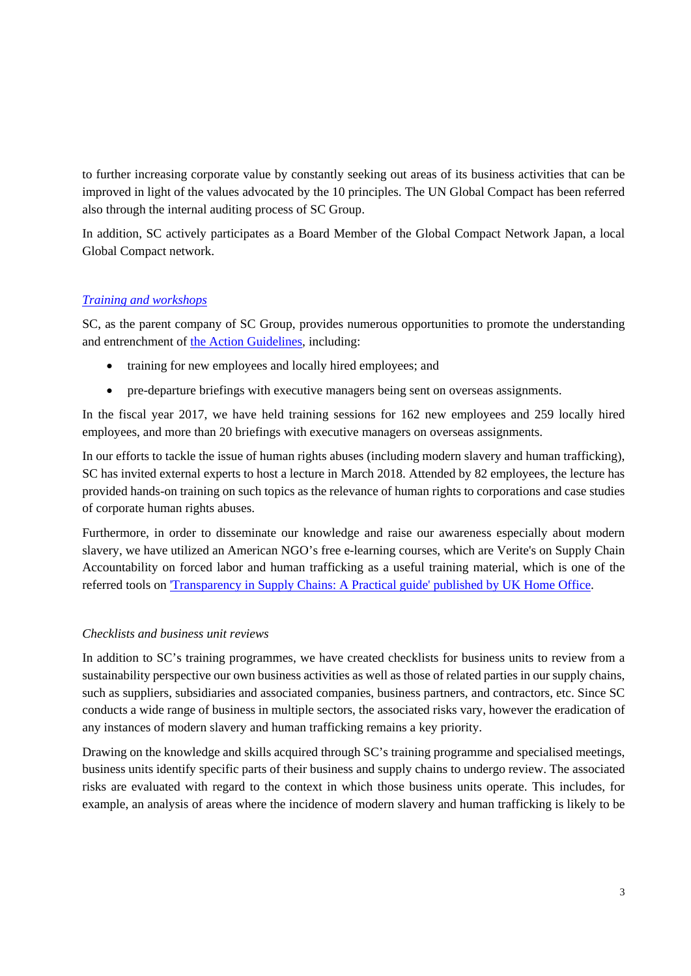to further increasing corporate value by constantly seeking out areas of its business activities that can be improved in light of the values advocated by the 10 principles. The UN Global Compact has been referred also through the internal auditing process of SC Group.

In addition, SC actively participates as a Board Member of the Global Compact Network Japan, a local Global Compact network.

# *[Training and workshops](https://www.sumitomocorp.com/en/jp/sustainability/csr#08)*

SC, as the parent company of SC Group, provides numerous opportunities to promote the understanding and entrenchment of [the Action Guidelines,](https://www.sumitomocorp.com/en/jp/sustainability/csr#01) including:

- training for new employees and locally hired employees; and
- pre-departure briefings with executive managers being sent on overseas assignments.

In the fiscal year 2017, we have held training sessions for 162 new employees and 259 locally hired employees, and more than 20 briefings with executive managers on overseas assignments.

In our efforts to tackle the issue of human rights abuses (including modern slavery and human trafficking), SC has invited external experts to host a lecture in March 2018. Attended by 82 employees, the lecture has provided hands-on training on such topics as the relevance of human rights to corporations and case studies of corporate human rights abuses.

Furthermore, in order to disseminate our knowledge and raise our awareness especially about modern slavery, we have utilized an American NGO's free e-learning courses, which are Verite's on Supply Chain Accountability on forced labor and human trafficking as a useful training material, which is one of the referred tools on '[Transparency in Supply Chains: A Practical guide' published by UK Home Office](https://www.gov.uk/government/publications/transparency-in-supply-chains-a-practical-guide).

## *Checklists and business unit reviews*

In addition to SC's training programmes, we have created checklists for business units to review from a sustainability perspective our own business activities as well as those of related parties in our supply chains, such as suppliers, subsidiaries and associated companies, business partners, and contractors, etc. Since SC conducts a wide range of business in multiple sectors, the associated risks vary, however the eradication of any instances of modern slavery and human trafficking remains a key priority.

Drawing on the knowledge and skills acquired through SC's training programme and specialised meetings, business units identify specific parts of their business and supply chains to undergo review. The associated risks are evaluated with regard to the context in which those business units operate. This includes, for example, an analysis of areas where the incidence of modern slavery and human trafficking is likely to be